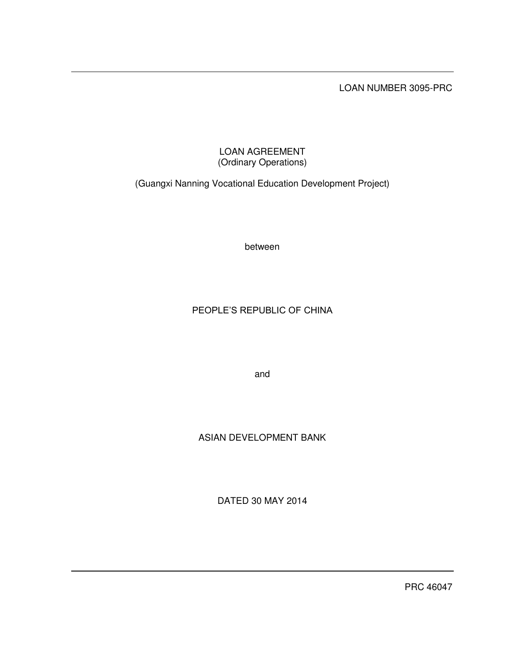LOAN NUMBER 3095-PRC

### LOAN AGREEMENT (Ordinary Operations)

(Guangxi Nanning Vocational Education Development Project)

between

# PEOPLE'S REPUBLIC OF CHINA

and

# ASIAN DEVELOPMENT BANK

DATED 30 MAY 2014

PRC 46047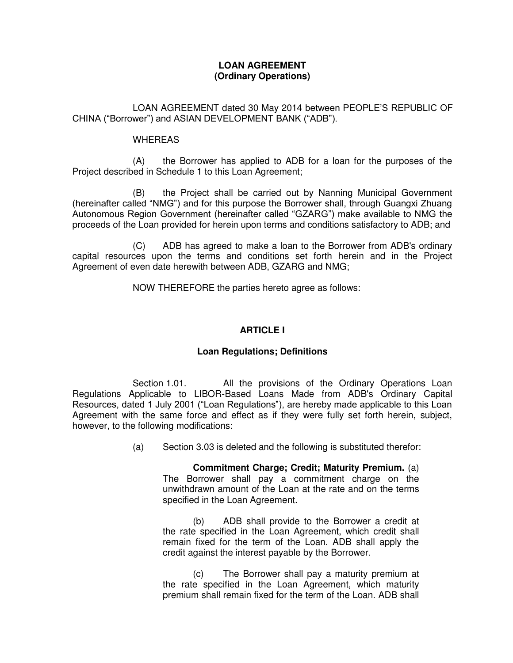### **LOAN AGREEMENT (Ordinary Operations)**

 LOAN AGREEMENT dated 30 May 2014 between PEOPLE'S REPUBLIC OF CHINA ("Borrower") and ASIAN DEVELOPMENT BANK ("ADB").

#### WHEREAS

 (A) the Borrower has applied to ADB for a loan for the purposes of the Project described in Schedule 1 to this Loan Agreement;

 (B) the Project shall be carried out by Nanning Municipal Government (hereinafter called "NMG") and for this purpose the Borrower shall, through Guangxi Zhuang Autonomous Region Government (hereinafter called "GZARG") make available to NMG the proceeds of the Loan provided for herein upon terms and conditions satisfactory to ADB; and

 (C) ADB has agreed to make a loan to the Borrower from ADB's ordinary capital resources upon the terms and conditions set forth herein and in the Project Agreement of even date herewith between ADB, GZARG and NMG;

NOW THEREFORE the parties hereto agree as follows:

### **ARTICLE I**

### **Loan Regulations; Definitions**

 Section 1.01. All the provisions of the Ordinary Operations Loan Regulations Applicable to LIBOR-Based Loans Made from ADB's Ordinary Capital Resources, dated 1 July 2001 ("Loan Regulations"), are hereby made applicable to this Loan Agreement with the same force and effect as if they were fully set forth herein, subject, however, to the following modifications:

(a) Section 3.03 is deleted and the following is substituted therefor:

**Commitment Charge; Credit; Maturity Premium.** (a) The Borrower shall pay a commitment charge on the unwithdrawn amount of the Loan at the rate and on the terms specified in the Loan Agreement.

(b) ADB shall provide to the Borrower a credit at the rate specified in the Loan Agreement, which credit shall remain fixed for the term of the Loan. ADB shall apply the credit against the interest payable by the Borrower.

(c) The Borrower shall pay a maturity premium at the rate specified in the Loan Agreement, which maturity premium shall remain fixed for the term of the Loan. ADB shall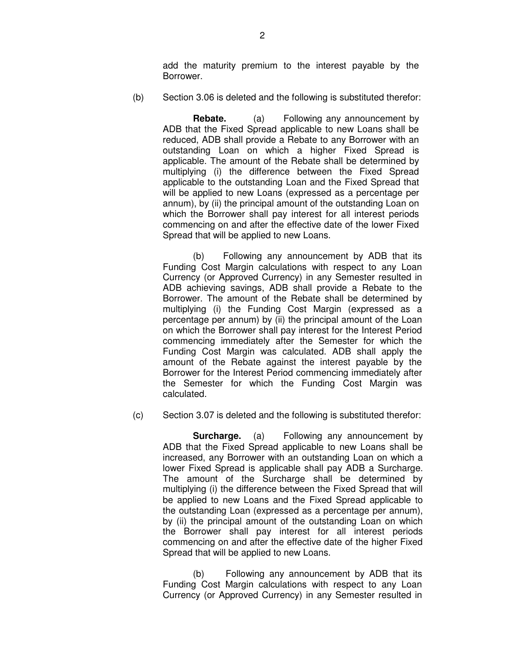add the maturity premium to the interest payable by the Borrower.

(b) Section 3.06 is deleted and the following is substituted therefor:

 **Rebate.** (a) Following any announcement by ADB that the Fixed Spread applicable to new Loans shall be reduced, ADB shall provide a Rebate to any Borrower with an outstanding Loan on which a higher Fixed Spread is applicable. The amount of the Rebate shall be determined by multiplying (i) the difference between the Fixed Spread applicable to the outstanding Loan and the Fixed Spread that will be applied to new Loans (expressed as a percentage per annum), by (ii) the principal amount of the outstanding Loan on which the Borrower shall pay interest for all interest periods commencing on and after the effective date of the lower Fixed Spread that will be applied to new Loans.

(b) Following any announcement by ADB that its Funding Cost Margin calculations with respect to any Loan Currency (or Approved Currency) in any Semester resulted in ADB achieving savings, ADB shall provide a Rebate to the Borrower. The amount of the Rebate shall be determined by multiplying (i) the Funding Cost Margin (expressed as a percentage per annum) by (ii) the principal amount of the Loan on which the Borrower shall pay interest for the Interest Period commencing immediately after the Semester for which the Funding Cost Margin was calculated. ADB shall apply the amount of the Rebate against the interest payable by the Borrower for the Interest Period commencing immediately after the Semester for which the Funding Cost Margin was calculated.

(c) Section 3.07 is deleted and the following is substituted therefor:

**Surcharge.** (a) Following any announcement by ADB that the Fixed Spread applicable to new Loans shall be increased, any Borrower with an outstanding Loan on which a lower Fixed Spread is applicable shall pay ADB a Surcharge. The amount of the Surcharge shall be determined by multiplying (i) the difference between the Fixed Spread that will be applied to new Loans and the Fixed Spread applicable to the outstanding Loan (expressed as a percentage per annum), by (ii) the principal amount of the outstanding Loan on which the Borrower shall pay interest for all interest periods commencing on and after the effective date of the higher Fixed Spread that will be applied to new Loans.

(b) Following any announcement by ADB that its Funding Cost Margin calculations with respect to any Loan Currency (or Approved Currency) in any Semester resulted in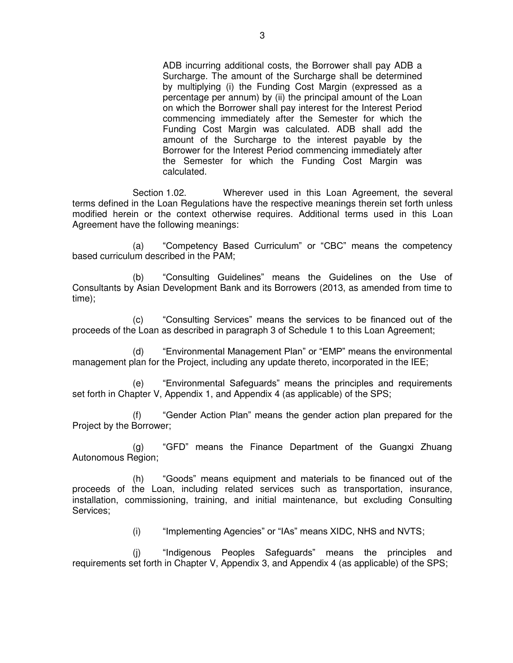ADB incurring additional costs, the Borrower shall pay ADB a Surcharge. The amount of the Surcharge shall be determined by multiplying (i) the Funding Cost Margin (expressed as a percentage per annum) by (ii) the principal amount of the Loan on which the Borrower shall pay interest for the Interest Period commencing immediately after the Semester for which the Funding Cost Margin was calculated. ADB shall add the amount of the Surcharge to the interest payable by the Borrower for the Interest Period commencing immediately after the Semester for which the Funding Cost Margin was calculated.

 Section 1.02. Wherever used in this Loan Agreement, the several terms defined in the Loan Regulations have the respective meanings therein set forth unless modified herein or the context otherwise requires. Additional terms used in this Loan Agreement have the following meanings:

(a) "Competency Based Curriculum" or "CBC" means the competency based curriculum described in the PAM;

(b) "Consulting Guidelines" means the Guidelines on the Use of Consultants by Asian Development Bank and its Borrowers (2013, as amended from time to time);

(c) "Consulting Services" means the services to be financed out of the proceeds of the Loan as described in paragraph 3 of Schedule 1 to this Loan Agreement;

(d) "Environmental Management Plan" or "EMP" means the environmental management plan for the Project, including any update thereto, incorporated in the IEE;

(e) "Environmental Safeguards" means the principles and requirements set forth in Chapter V, Appendix 1, and Appendix 4 (as applicable) of the SPS;

(f) "Gender Action Plan" means the gender action plan prepared for the Project by the Borrower;

(g) "GFD" means the Finance Department of the Guangxi Zhuang Autonomous Region;

(h) "Goods" means equipment and materials to be financed out of the proceeds of the Loan, including related services such as transportation, insurance, installation, commissioning, training, and initial maintenance, but excluding Consulting Services;

(i) "Implementing Agencies" or "IAs" means XIDC, NHS and NVTS;

(j) "Indigenous Peoples Safeguards" means the principles and requirements set forth in Chapter V, Appendix 3, and Appendix 4 (as applicable) of the SPS;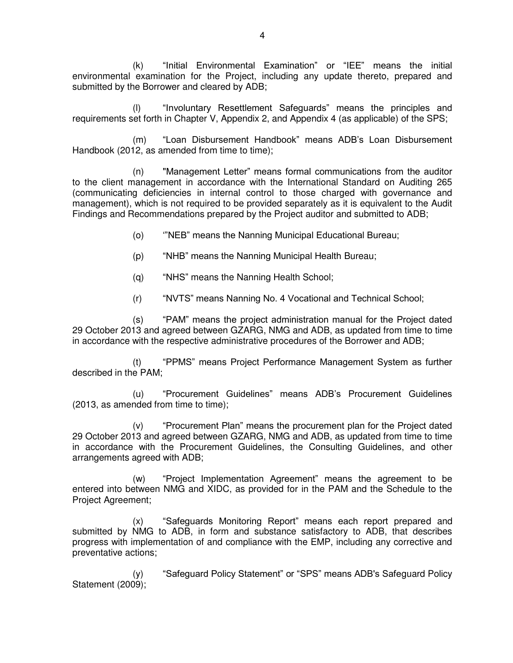(k) "Initial Environmental Examination" or "IEE" means the initial environmental examination for the Project, including any update thereto, prepared and submitted by the Borrower and cleared by ADB;

(l) "Involuntary Resettlement Safeguards" means the principles and requirements set forth in Chapter V, Appendix 2, and Appendix 4 (as applicable) of the SPS;

(m) "Loan Disbursement Handbook" means ADB's Loan Disbursement Handbook (2012, as amended from time to time);

(n) "Management Letter" means formal communications from the auditor to the client management in accordance with the International Standard on Auditing 265 (communicating deficiencies in internal control to those charged with governance and management), which is not required to be provided separately as it is equivalent to the Audit Findings and Recommendations prepared by the Project auditor and submitted to ADB;

- (o) '"NEB" means the Nanning Municipal Educational Bureau;
- (p) "NHB" means the Nanning Municipal Health Bureau;
- (q) "NHS" means the Nanning Health School;
- (r) "NVTS" means Nanning No. 4 Vocational and Technical School;

(s) "PAM" means the project administration manual for the Project dated 29 October 2013 and agreed between GZARG, NMG and ADB, as updated from time to time in accordance with the respective administrative procedures of the Borrower and ADB;

(t) "PPMS" means Project Performance Management System as further described in the PAM;

(u) "Procurement Guidelines" means ADB's Procurement Guidelines (2013, as amended from time to time);

(v) "Procurement Plan" means the procurement plan for the Project dated 29 October 2013 and agreed between GZARG, NMG and ADB, as updated from time to time in accordance with the Procurement Guidelines, the Consulting Guidelines, and other arrangements agreed with ADB;

(w) "Project Implementation Agreement" means the agreement to be entered into between NMG and XIDC, as provided for in the PAM and the Schedule to the Project Agreement;

(x) "Safeguards Monitoring Report" means each report prepared and submitted by NMG to ADB, in form and substance satisfactory to ADB, that describes progress with implementation of and compliance with the EMP, including any corrective and preventative actions;

(y) "Safeguard Policy Statement" or "SPS" means ADB's Safeguard Policy Statement (2009);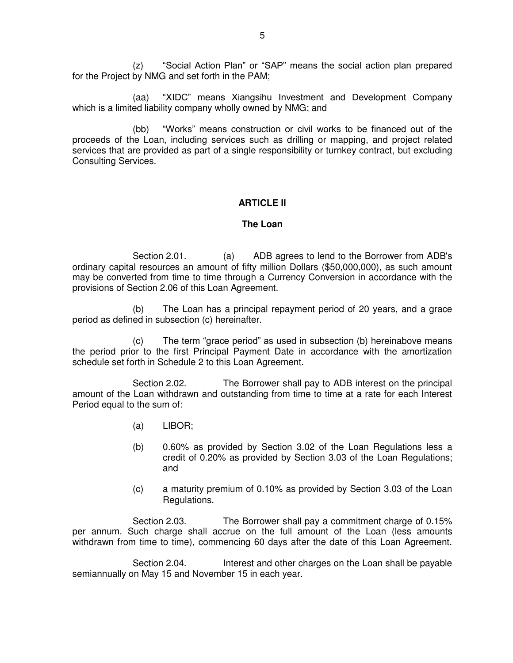(z) "Social Action Plan" or "SAP" means the social action plan prepared for the Project by NMG and set forth in the PAM;

(aa) "XIDC" means Xiangsihu Investment and Development Company which is a limited liability company wholly owned by NMG; and

(bb) "Works" means construction or civil works to be financed out of the proceeds of the Loan, including services such as drilling or mapping, and project related services that are provided as part of a single responsibility or turnkey contract, but excluding Consulting Services.

#### **ARTICLE II**

#### **The Loan**

 Section 2.01. (a) ADB agrees to lend to the Borrower from ADB's ordinary capital resources an amount of fifty million Dollars (\$50,000,000), as such amount may be converted from time to time through a Currency Conversion in accordance with the provisions of Section 2.06 of this Loan Agreement.

(b) The Loan has a principal repayment period of 20 years, and a grace period as defined in subsection (c) hereinafter.

(c) The term "grace period" as used in subsection (b) hereinabove means the period prior to the first Principal Payment Date in accordance with the amortization schedule set forth in Schedule 2 to this Loan Agreement.

Section 2.02. The Borrower shall pay to ADB interest on the principal amount of the Loan withdrawn and outstanding from time to time at a rate for each Interest Period equal to the sum of:

- (a) LIBOR;
- (b) 0.60% as provided by Section 3.02 of the Loan Regulations less a credit of 0.20% as provided by Section 3.03 of the Loan Regulations; and
- (c) a maturity premium of 0.10% as provided by Section 3.03 of the Loan Regulations.

 Section 2.03. The Borrower shall pay a commitment charge of 0.15% per annum. Such charge shall accrue on the full amount of the Loan (less amounts withdrawn from time to time), commencing 60 days after the date of this Loan Agreement.

 Section 2.04. Interest and other charges on the Loan shall be payable semiannually on May 15 and November 15 in each year.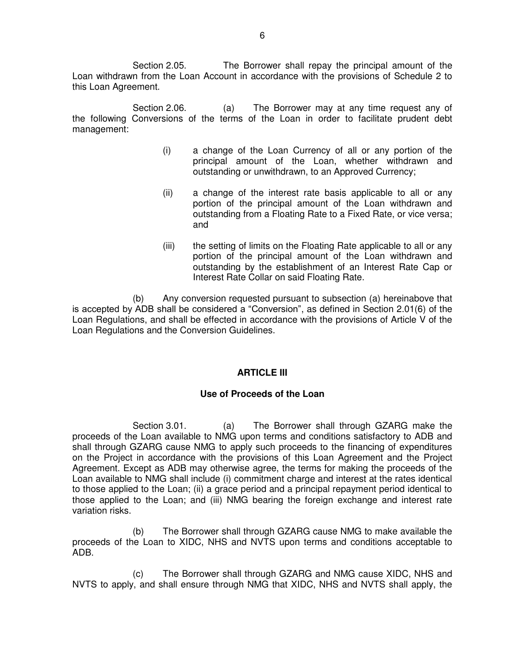Section 2.05. The Borrower shall repay the principal amount of the Loan withdrawn from the Loan Account in accordance with the provisions of Schedule 2 to this Loan Agreement.

 Section 2.06. (a) The Borrower may at any time request any of the following Conversions of the terms of the Loan in order to facilitate prudent debt management:

- (i) a change of the Loan Currency of all or any portion of the principal amount of the Loan, whether withdrawn and outstanding or unwithdrawn, to an Approved Currency;
- (ii) a change of the interest rate basis applicable to all or any portion of the principal amount of the Loan withdrawn and outstanding from a Floating Rate to a Fixed Rate, or vice versa; and
- (iii) the setting of limits on the Floating Rate applicable to all or any portion of the principal amount of the Loan withdrawn and outstanding by the establishment of an Interest Rate Cap or Interest Rate Collar on said Floating Rate.

(b) Any conversion requested pursuant to subsection (a) hereinabove that is accepted by ADB shall be considered a "Conversion", as defined in Section 2.01(6) of the Loan Regulations, and shall be effected in accordance with the provisions of Article V of the Loan Regulations and the Conversion Guidelines.

### **ARTICLE III**

### **Use of Proceeds of the Loan**

Section 3.01. (a) The Borrower shall through GZARG make the proceeds of the Loan available to NMG upon terms and conditions satisfactory to ADB and shall through GZARG cause NMG to apply such proceeds to the financing of expenditures on the Project in accordance with the provisions of this Loan Agreement and the Project Agreement. Except as ADB may otherwise agree, the terms for making the proceeds of the Loan available to NMG shall include (i) commitment charge and interest at the rates identical to those applied to the Loan; (ii) a grace period and a principal repayment period identical to those applied to the Loan; and (iii) NMG bearing the foreign exchange and interest rate variation risks.

(b) The Borrower shall through GZARG cause NMG to make available the proceeds of the Loan to XIDC, NHS and NVTS upon terms and conditions acceptable to ADB.

(c) The Borrower shall through GZARG and NMG cause XIDC, NHS and NVTS to apply, and shall ensure through NMG that XIDC, NHS and NVTS shall apply, the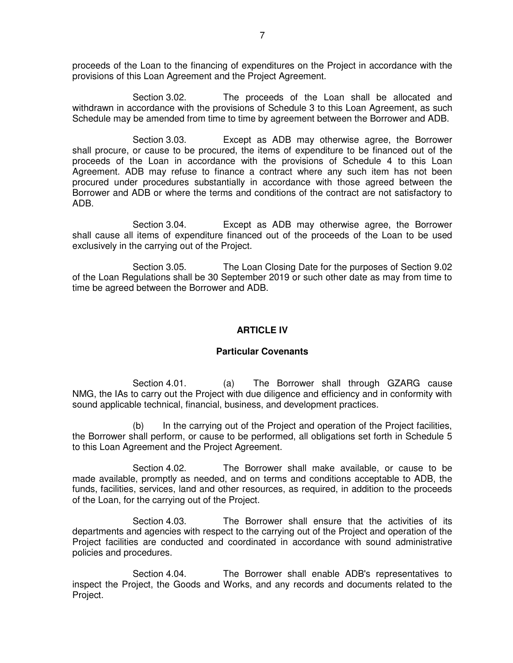proceeds of the Loan to the financing of expenditures on the Project in accordance with the provisions of this Loan Agreement and the Project Agreement.

 Section 3.02. The proceeds of the Loan shall be allocated and withdrawn in accordance with the provisions of Schedule 3 to this Loan Agreement, as such Schedule may be amended from time to time by agreement between the Borrower and ADB.

 Section 3.03. Except as ADB may otherwise agree, the Borrower shall procure, or cause to be procured, the items of expenditure to be financed out of the proceeds of the Loan in accordance with the provisions of Schedule 4 to this Loan Agreement. ADB may refuse to finance a contract where any such item has not been procured under procedures substantially in accordance with those agreed between the Borrower and ADB or where the terms and conditions of the contract are not satisfactory to ADB.

 Section 3.04. Except as ADB may otherwise agree, the Borrower shall cause all items of expenditure financed out of the proceeds of the Loan to be used exclusively in the carrying out of the Project.

 Section 3.05. The Loan Closing Date for the purposes of Section 9.02 of the Loan Regulations shall be 30 September 2019 or such other date as may from time to time be agreed between the Borrower and ADB.

#### **ARTICLE IV**

#### **Particular Covenants**

Section 4.01. (a) The Borrower shall through GZARG cause NMG, the IAs to carry out the Project with due diligence and efficiency and in conformity with sound applicable technical, financial, business, and development practices.

 (b) In the carrying out of the Project and operation of the Project facilities, the Borrower shall perform, or cause to be performed, all obligations set forth in Schedule 5 to this Loan Agreement and the Project Agreement.

 Section 4.02. The Borrower shall make available, or cause to be made available, promptly as needed, and on terms and conditions acceptable to ADB, the funds, facilities, services, land and other resources, as required, in addition to the proceeds of the Loan, for the carrying out of the Project.

 Section 4.03. The Borrower shall ensure that the activities of its departments and agencies with respect to the carrying out of the Project and operation of the Project facilities are conducted and coordinated in accordance with sound administrative policies and procedures.

 Section 4.04. The Borrower shall enable ADB's representatives to inspect the Project, the Goods and Works, and any records and documents related to the Project.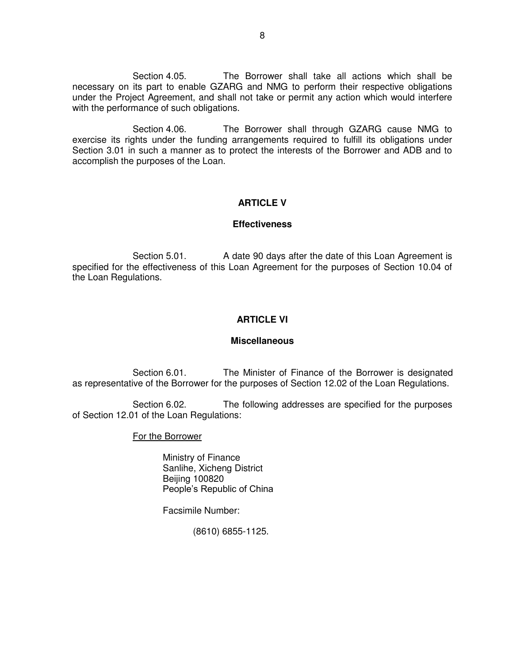Section 4.05. The Borrower shall take all actions which shall be necessary on its part to enable GZARG and NMG to perform their respective obligations under the Project Agreement, and shall not take or permit any action which would interfere with the performance of such obligations.

 Section 4.06. The Borrower shall through GZARG cause NMG to exercise its rights under the funding arrangements required to fulfill its obligations under Section 3.01 in such a manner as to protect the interests of the Borrower and ADB and to accomplish the purposes of the Loan.

#### **ARTICLE V**

#### **Effectiveness**

 Section 5.01. A date 90 days after the date of this Loan Agreement is specified for the effectiveness of this Loan Agreement for the purposes of Section 10.04 of the Loan Regulations.

### **ARTICLE VI**

#### **Miscellaneous**

 Section 6.01. The Minister of Finance of the Borrower is designated as representative of the Borrower for the purposes of Section 12.02 of the Loan Regulations.

 Section 6.02. The following addresses are specified for the purposes of Section 12.01 of the Loan Regulations:

#### For the Borrower

Ministry of Finance Sanlihe, Xicheng District Beijing 100820 People's Republic of China

Facsimile Number:

(8610) 6855-1125.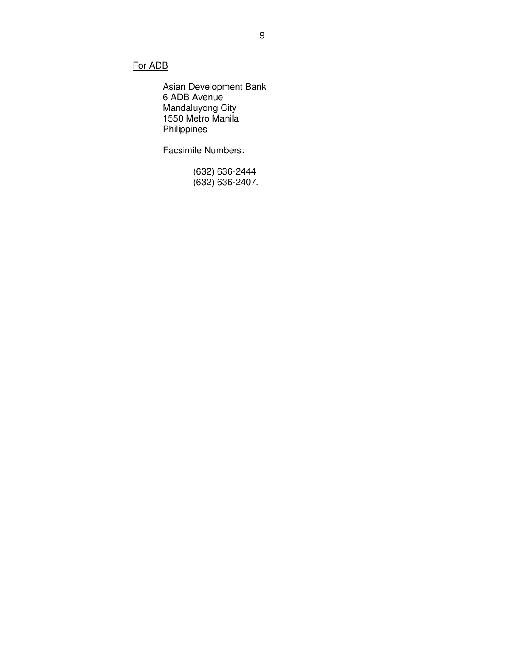# For ADB

Asian Development Bank 6 ADB Avenue Mandaluyong City 1550 Metro Manila Philippines

Facsimile Numbers:

 (632) 636-2444  $(632) 636-2407.$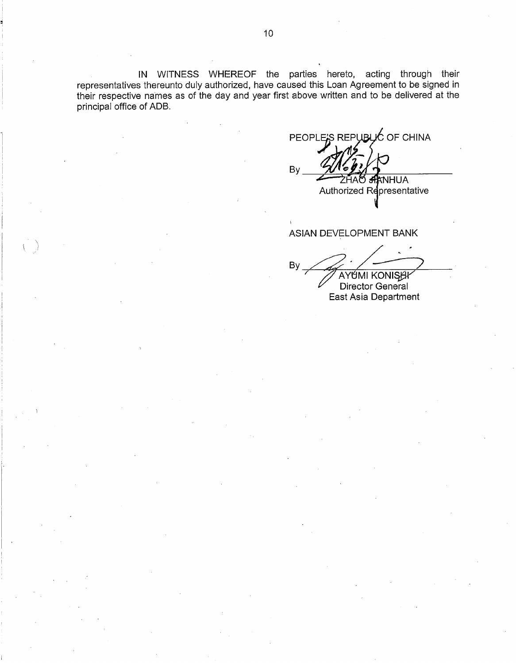IN WITNESS WHEREOF the parties hereto, acting through their representatives thereunto duly authorized, have caused this Loan Agreement to be signed in their respective names as of the day and year first above written and to be delivered at the principal office of ADB.

PEOPLE'S REPUBLIC OF CHINA By IAO <del>sik</del>nhua Authorized Representative

ASIAN DEVELOPMENT BANK

By **AYÚMI KONISEIR** Director General East Asia Department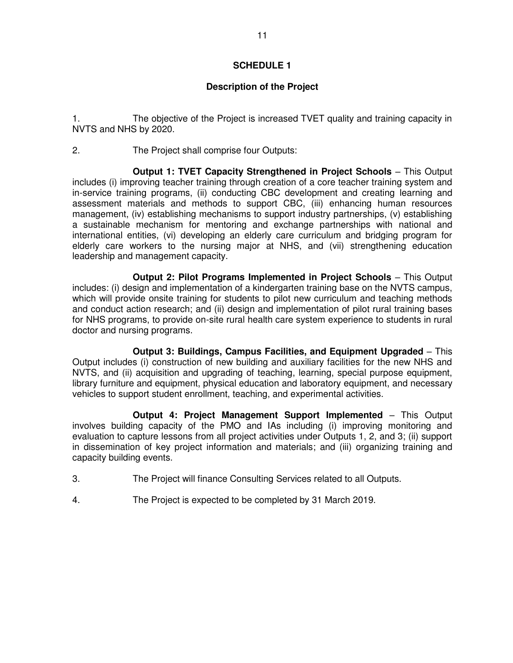### **Description of the Project**

1. The objective of the Project is increased TVET quality and training capacity in NVTS and NHS by 2020.

2. The Project shall comprise four Outputs:

 **Output 1: TVET Capacity Strengthened in Project Schools** – This Output includes (i) improving teacher training through creation of a core teacher training system and in-service training programs, (ii) conducting CBC development and creating learning and assessment materials and methods to support CBC, (iii) enhancing human resources management, (iv) establishing mechanisms to support industry partnerships, (v) establishing a sustainable mechanism for mentoring and exchange partnerships with national and international entities, (vi) developing an elderly care curriculum and bridging program for elderly care workers to the nursing major at NHS, and (vii) strengthening education leadership and management capacity.

 **Output 2: Pilot Programs Implemented in Project Schools** – This Output includes: (i) design and implementation of a kindergarten training base on the NVTS campus, which will provide onsite training for students to pilot new curriculum and teaching methods and conduct action research; and (ii) design and implementation of pilot rural training bases for NHS programs, to provide on-site rural health care system experience to students in rural doctor and nursing programs.

 **Output 3: Buildings, Campus Facilities, and Equipment Upgraded** – This Output includes (i) construction of new building and auxiliary facilities for the new NHS and NVTS, and (ii) acquisition and upgrading of teaching, learning, special purpose equipment, library furniture and equipment, physical education and laboratory equipment, and necessary vehicles to support student enrollment, teaching, and experimental activities.

 **Output 4: Project Management Support Implemented** – This Output involves building capacity of the PMO and IAs including (i) improving monitoring and evaluation to capture lessons from all project activities under Outputs 1, 2, and 3; (ii) support in dissemination of key project information and materials; and (iii) organizing training and capacity building events.

- 3. The Project will finance Consulting Services related to all Outputs.
- 4. The Project is expected to be completed by 31 March 2019.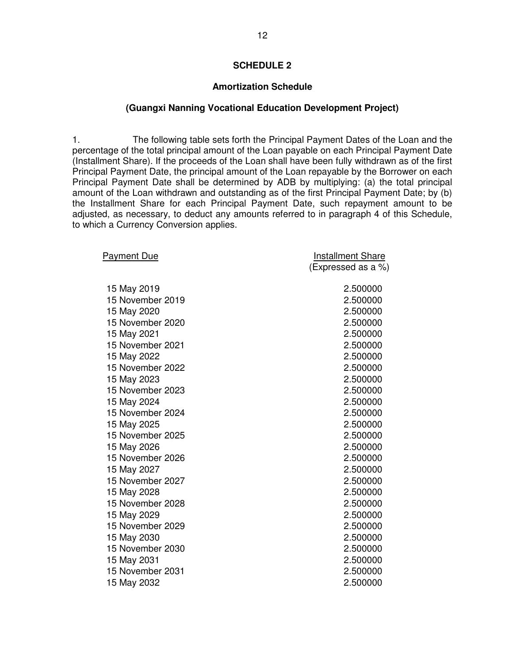#### **Amortization Schedule**

#### **(Guangxi Nanning Vocational Education Development Project)**

1. The following table sets forth the Principal Payment Dates of the Loan and the percentage of the total principal amount of the Loan payable on each Principal Payment Date (Installment Share). If the proceeds of the Loan shall have been fully withdrawn as of the first Principal Payment Date, the principal amount of the Loan repayable by the Borrower on each Principal Payment Date shall be determined by ADB by multiplying: (a) the total principal amount of the Loan withdrawn and outstanding as of the first Principal Payment Date; by (b) the Installment Share for each Principal Payment Date, such repayment amount to be adjusted, as necessary, to deduct any amounts referred to in paragraph 4 of this Schedule, to which a Currency Conversion applies.

| <b>Payment Due</b> | <b>Installment Share</b> |
|--------------------|--------------------------|
|                    | (Expressed as a %)       |
| 15 May 2019        | 2.500000                 |
| 15 November 2019   | 2.500000                 |
| 15 May 2020        | 2.500000                 |
| 15 November 2020   | 2.500000                 |
| 15 May 2021        | 2.500000                 |
| 15 November 2021   | 2.500000                 |
| 15 May 2022        | 2.500000                 |
| 15 November 2022   | 2.500000                 |
| 15 May 2023        | 2.500000                 |
| 15 November 2023   | 2.500000                 |
| 15 May 2024        | 2.500000                 |
| 15 November 2024   | 2.500000                 |
| 15 May 2025        | 2.500000                 |
| 15 November 2025   | 2.500000                 |
| 15 May 2026        | 2.500000                 |
| 15 November 2026   | 2.500000                 |
| 15 May 2027        | 2.500000                 |
| 15 November 2027   | 2.500000                 |
| 15 May 2028        | 2.500000                 |
| 15 November 2028   | 2.500000                 |
| 15 May 2029        | 2.500000                 |
| 15 November 2029   | 2.500000                 |
| 15 May 2030        | 2.500000                 |
| 15 November 2030   | 2.500000                 |
| 15 May 2031        | 2.500000                 |
| 15 November 2031   | 2.500000                 |
| 15 May 2032        | 2.500000                 |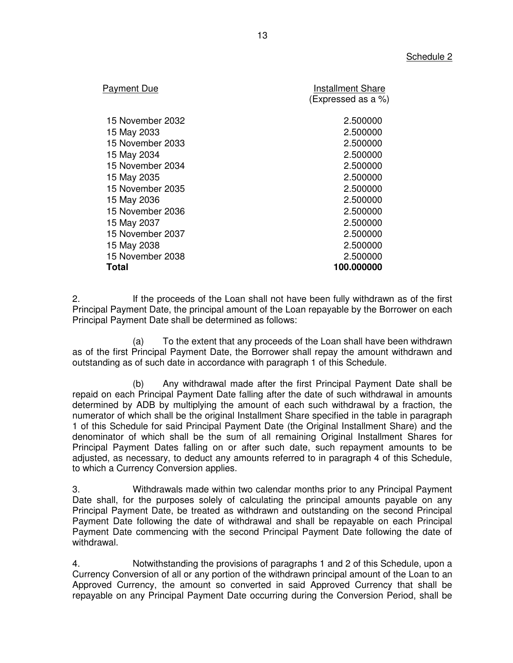| <b>Payment Due</b> | <b>Installment Share</b><br>(Expressed as a %) |
|--------------------|------------------------------------------------|
| 15 November 2032   | 2.500000                                       |
| 15 May 2033        | 2.500000                                       |
| 15 November 2033   | 2.500000                                       |
| 15 May 2034        | 2.500000                                       |
| 15 November 2034   | 2.500000                                       |
| 15 May 2035        | 2.500000                                       |
| 15 November 2035   | 2.500000                                       |
| 15 May 2036        | 2.500000                                       |
| 15 November 2036   | 2.500000                                       |
| 15 May 2037        | 2.500000                                       |
| 15 November 2037   | 2.500000                                       |
| 15 May 2038        | 2.500000                                       |
| 15 November 2038   | 2.500000                                       |
| Total              | 100.000000                                     |

2. If the proceeds of the Loan shall not have been fully withdrawn as of the first Principal Payment Date, the principal amount of the Loan repayable by the Borrower on each Principal Payment Date shall be determined as follows:

(a) To the extent that any proceeds of the Loan shall have been withdrawn as of the first Principal Payment Date, the Borrower shall repay the amount withdrawn and outstanding as of such date in accordance with paragraph 1 of this Schedule.

(b) Any withdrawal made after the first Principal Payment Date shall be repaid on each Principal Payment Date falling after the date of such withdrawal in amounts determined by ADB by multiplying the amount of each such withdrawal by a fraction, the numerator of which shall be the original Installment Share specified in the table in paragraph 1 of this Schedule for said Principal Payment Date (the Original Installment Share) and the denominator of which shall be the sum of all remaining Original Installment Shares for Principal Payment Dates falling on or after such date, such repayment amounts to be adjusted, as necessary, to deduct any amounts referred to in paragraph 4 of this Schedule, to which a Currency Conversion applies.

3. Withdrawals made within two calendar months prior to any Principal Payment Date shall, for the purposes solely of calculating the principal amounts payable on any Principal Payment Date, be treated as withdrawn and outstanding on the second Principal Payment Date following the date of withdrawal and shall be repayable on each Principal Payment Date commencing with the second Principal Payment Date following the date of withdrawal.

4. Notwithstanding the provisions of paragraphs 1 and 2 of this Schedule, upon a Currency Conversion of all or any portion of the withdrawn principal amount of the Loan to an Approved Currency, the amount so converted in said Approved Currency that shall be repayable on any Principal Payment Date occurring during the Conversion Period, shall be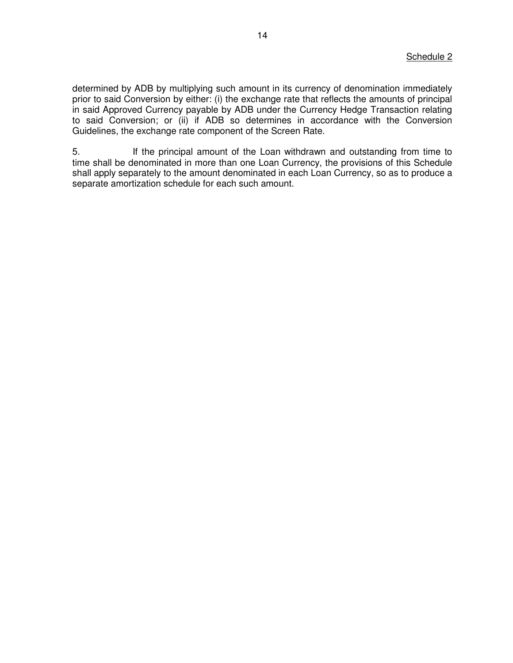determined by ADB by multiplying such amount in its currency of denomination immediately prior to said Conversion by either: (i) the exchange rate that reflects the amounts of principal in said Approved Currency payable by ADB under the Currency Hedge Transaction relating to said Conversion; or (ii) if ADB so determines in accordance with the Conversion Guidelines, the exchange rate component of the Screen Rate.

5. If the principal amount of the Loan withdrawn and outstanding from time to time shall be denominated in more than one Loan Currency, the provisions of this Schedule shall apply separately to the amount denominated in each Loan Currency, so as to produce a separate amortization schedule for each such amount.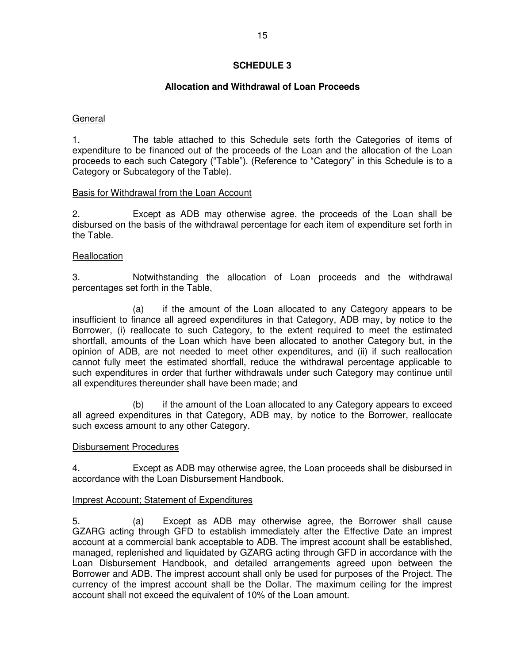### **Allocation and Withdrawal of Loan Proceeds**

### General

1. The table attached to this Schedule sets forth the Categories of items of expenditure to be financed out of the proceeds of the Loan and the allocation of the Loan proceeds to each such Category ("Table"). (Reference to "Category" in this Schedule is to a Category or Subcategory of the Table).

### Basis for Withdrawal from the Loan Account

2. Except as ADB may otherwise agree, the proceeds of the Loan shall be disbursed on the basis of the withdrawal percentage for each item of expenditure set forth in the Table.

### **Reallocation**

3. Notwithstanding the allocation of Loan proceeds and the withdrawal percentages set forth in the Table,

 (a) if the amount of the Loan allocated to any Category appears to be insufficient to finance all agreed expenditures in that Category, ADB may, by notice to the Borrower, (i) reallocate to such Category, to the extent required to meet the estimated shortfall, amounts of the Loan which have been allocated to another Category but, in the opinion of ADB, are not needed to meet other expenditures, and (ii) if such reallocation cannot fully meet the estimated shortfall, reduce the withdrawal percentage applicable to such expenditures in order that further withdrawals under such Category may continue until all expenditures thereunder shall have been made; and

 (b) if the amount of the Loan allocated to any Category appears to exceed all agreed expenditures in that Category, ADB may, by notice to the Borrower, reallocate such excess amount to any other Category.

### Disbursement Procedures

4. Except as ADB may otherwise agree, the Loan proceeds shall be disbursed in accordance with the Loan Disbursement Handbook.

### Imprest Account; Statement of Expenditures

5. (a) Except as ADB may otherwise agree, the Borrower shall cause GZARG acting through GFD to establish immediately after the Effective Date an imprest account at a commercial bank acceptable to ADB. The imprest account shall be established, managed, replenished and liquidated by GZARG acting through GFD in accordance with the Loan Disbursement Handbook, and detailed arrangements agreed upon between the Borrower and ADB. The imprest account shall only be used for purposes of the Project. The currency of the imprest account shall be the Dollar. The maximum ceiling for the imprest account shall not exceed the equivalent of 10% of the Loan amount.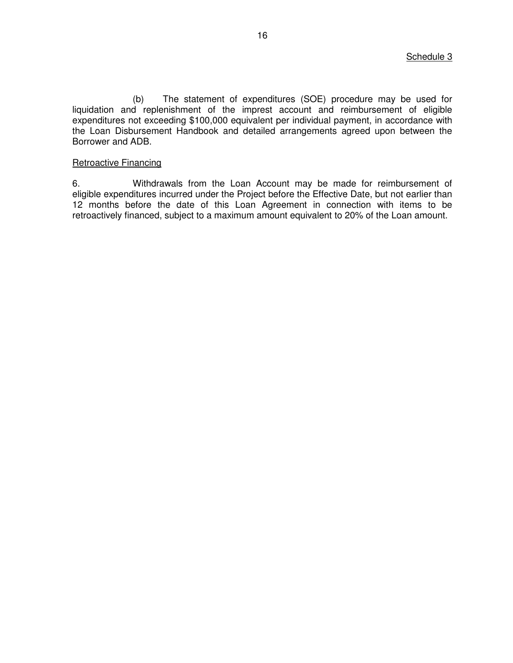(b) The statement of expenditures (SOE) procedure may be used for liquidation and replenishment of the imprest account and reimbursement of eligible expenditures not exceeding \$100,000 equivalent per individual payment, in accordance with the Loan Disbursement Handbook and detailed arrangements agreed upon between the Borrower and ADB.

#### Retroactive Financing

6. Withdrawals from the Loan Account may be made for reimbursement of eligible expenditures incurred under the Project before the Effective Date, but not earlier than 12 months before the date of this Loan Agreement in connection with items to be retroactively financed, subject to a maximum amount equivalent to 20% of the Loan amount.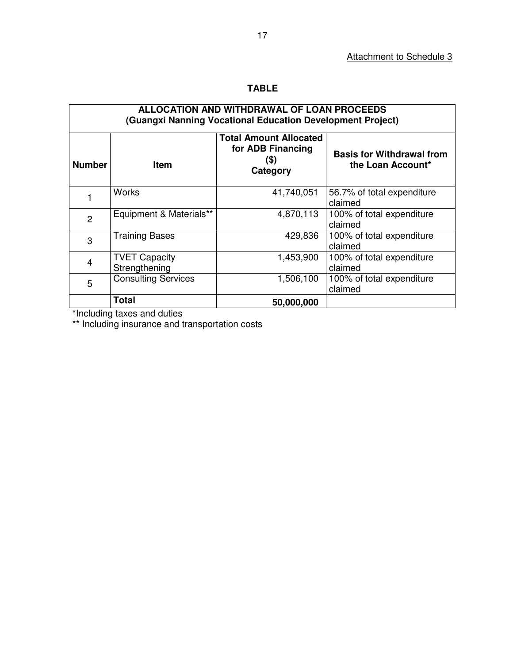# **TABLE**

| ALLOCATION AND WITHDRAWAL OF LOAN PROCEEDS<br>(Guangxi Nanning Vocational Education Development Project) |                                       |                                                                        |                                                       |  |
|----------------------------------------------------------------------------------------------------------|---------------------------------------|------------------------------------------------------------------------|-------------------------------------------------------|--|
| <b>Number</b>                                                                                            | <b>Item</b>                           | <b>Total Amount Allocated</b><br>for ADB Financing<br>(\$)<br>Category | <b>Basis for Withdrawal from</b><br>the Loan Account* |  |
|                                                                                                          | Works                                 | 41,740,051                                                             | 56.7% of total expenditure<br>claimed                 |  |
| $\overline{2}$                                                                                           | Equipment & Materials**               | 4,870,113                                                              | 100% of total expenditure<br>claimed                  |  |
| 3                                                                                                        | <b>Training Bases</b>                 | 429,836                                                                | 100% of total expenditure<br>claimed                  |  |
| 4                                                                                                        | <b>TVET Capacity</b><br>Strengthening | 1,453,900                                                              | 100% of total expenditure<br>claimed                  |  |
| 5                                                                                                        | <b>Consulting Services</b>            | 1,506,100                                                              | 100% of total expenditure<br>claimed                  |  |
|                                                                                                          | <b>Total</b>                          | 50,000,000                                                             |                                                       |  |

\*Including taxes and duties

\*\* Including insurance and transportation costs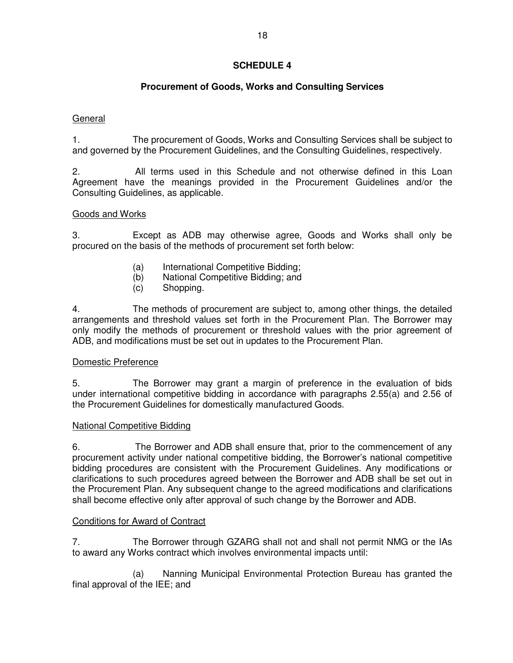## **Procurement of Goods, Works and Consulting Services**

## General

1. The procurement of Goods, Works and Consulting Services shall be subject to and governed by the Procurement Guidelines, and the Consulting Guidelines, respectively.

2. All terms used in this Schedule and not otherwise defined in this Loan Agreement have the meanings provided in the Procurement Guidelines and/or the Consulting Guidelines, as applicable.

### Goods and Works

3. Except as ADB may otherwise agree, Goods and Works shall only be procured on the basis of the methods of procurement set forth below:

- (a) International Competitive Bidding;
- (b) National Competitive Bidding; and
- (c) Shopping.

4. The methods of procurement are subject to, among other things, the detailed arrangements and threshold values set forth in the Procurement Plan. The Borrower may only modify the methods of procurement or threshold values with the prior agreement of ADB, and modifications must be set out in updates to the Procurement Plan.

### Domestic Preference

5. The Borrower may grant a margin of preference in the evaluation of bids under international competitive bidding in accordance with paragraphs 2.55(a) and 2.56 of the Procurement Guidelines for domestically manufactured Goods.

### National Competitive Bidding

6. The Borrower and ADB shall ensure that, prior to the commencement of any procurement activity under national competitive bidding, the Borrower's national competitive bidding procedures are consistent with the Procurement Guidelines. Any modifications or clarifications to such procedures agreed between the Borrower and ADB shall be set out in the Procurement Plan. Any subsequent change to the agreed modifications and clarifications shall become effective only after approval of such change by the Borrower and ADB.

### Conditions for Award of Contract

7. The Borrower through GZARG shall not and shall not permit NMG or the IAs to award any Works contract which involves environmental impacts until:

 (a) Nanning Municipal Environmental Protection Bureau has granted the final approval of the IEE; and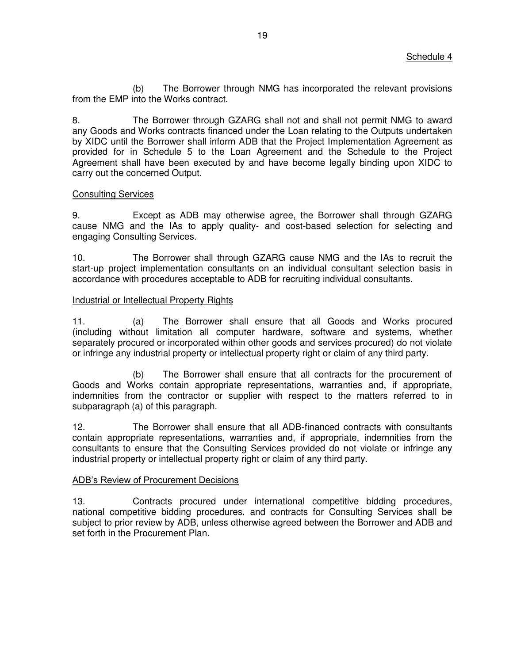(b) The Borrower through NMG has incorporated the relevant provisions from the EMP into the Works contract.

8. The Borrower through GZARG shall not and shall not permit NMG to award any Goods and Works contracts financed under the Loan relating to the Outputs undertaken by XIDC until the Borrower shall inform ADB that the Project Implementation Agreement as provided for in Schedule 5 to the Loan Agreement and the Schedule to the Project Agreement shall have been executed by and have become legally binding upon XIDC to carry out the concerned Output.

### Consulting Services

9. Except as ADB may otherwise agree, the Borrower shall through GZARG cause NMG and the IAs to apply quality- and cost-based selection for selecting and engaging Consulting Services.

10. The Borrower shall through GZARG cause NMG and the IAs to recruit the start-up project implementation consultants on an individual consultant selection basis in accordance with procedures acceptable to ADB for recruiting individual consultants.

### Industrial or Intellectual Property Rights

11. (a) The Borrower shall ensure that all Goods and Works procured (including without limitation all computer hardware, software and systems, whether separately procured or incorporated within other goods and services procured) do not violate or infringe any industrial property or intellectual property right or claim of any third party.

 (b) The Borrower shall ensure that all contracts for the procurement of Goods and Works contain appropriate representations, warranties and, if appropriate, indemnities from the contractor or supplier with respect to the matters referred to in subparagraph (a) of this paragraph.

12. The Borrower shall ensure that all ADB-financed contracts with consultants contain appropriate representations, warranties and, if appropriate, indemnities from the consultants to ensure that the Consulting Services provided do not violate or infringe any industrial property or intellectual property right or claim of any third party.

### ADB's Review of Procurement Decisions

13. Contracts procured under international competitive bidding procedures, national competitive bidding procedures, and contracts for Consulting Services shall be subject to prior review by ADB, unless otherwise agreed between the Borrower and ADB and set forth in the Procurement Plan.